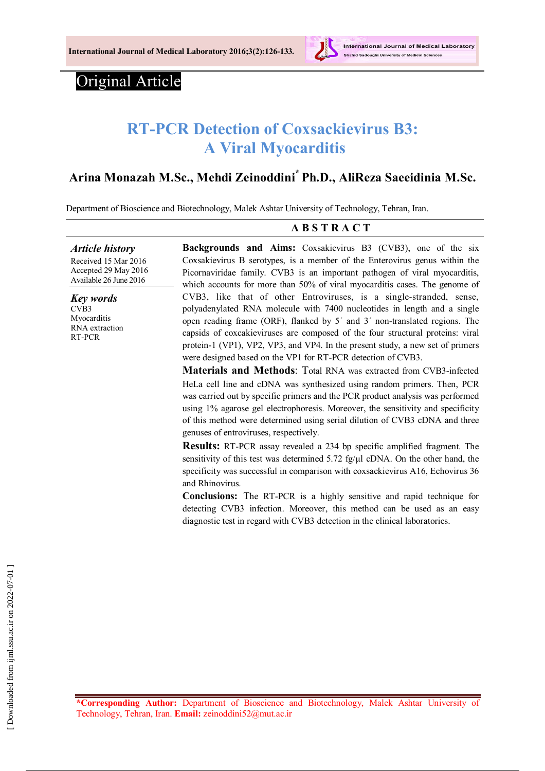

# Original Article

# **RT-PCR Detection of Coxsackievirus B3: A Viral Myocarditis**

# **Arina Monazah M.Sc., Mehdi Zeinoddini\* Ph.D., AliReza Saeeidinia M.Sc.**

Department of Bioscience and Biotechnology, Malek Ashtar University of Technology, Tehran, Iran.

### **A B S T R A C T**

*Article history* Received 15 Mar 2016 Accepted 29 May 2016 Available 26 June 2016

*Key words* CVB3 **Myocarditis** RNA extraction RT-PCR

**Backgrounds and Aims:** Coxsakievirus B3 (CVB3), one of the six Coxsakievirus B serotypes, is a member of the Enterovirus genus within the Picornaviridae family. CVB3 is an important pathogen of viral myocarditis, which accounts for more than 50% of viral myocarditis cases. The genome of CVB3, like that of other Entroviruses, is a single-stranded, sense, polyadenylated RNA molecule with 7400 nucleotides in length and a single open reading frame (ORF), flanked by 5΄ and 3΄ non-translated regions. The capsids of coxcakieviruses are composed of the four structural proteins: viral protein-1 (VP1), VP2, VP3, and VP4. In the present study, a new set of primers were designed based on the VP1 for RT-PCR detection of CVB3.

**Materials and Methods:** Total RNA was extracted from CVB3-infected HeLa cell line and cDNA was synthesized using random primers. Then, PCR was carried out by specific primers and the PCR product analysis was performed using 1% agarose gel electrophoresis. Moreover, the sensitivity and specificity of this method were determined using serial dilution of CVB3 cDNA and three genuses of entroviruses, respectively.

**Results:** RT-PCR assay revealed a 234 bp specific amplified fragment. The sensitivity of this test was determined  $5.72$  fg/ $\mu$ l cDNA. On the other hand, the specificity was successful in comparison with coxsackievirus A16, Echovirus 36 and Rhinovirus.

**Conclusions:** The RT-PCR is a highly sensitive and rapid technique for detecting CVB3 infection. Moreover, this method can be used as an easy diagnostic test in regard with CVB3 detection in the clinical laboratories.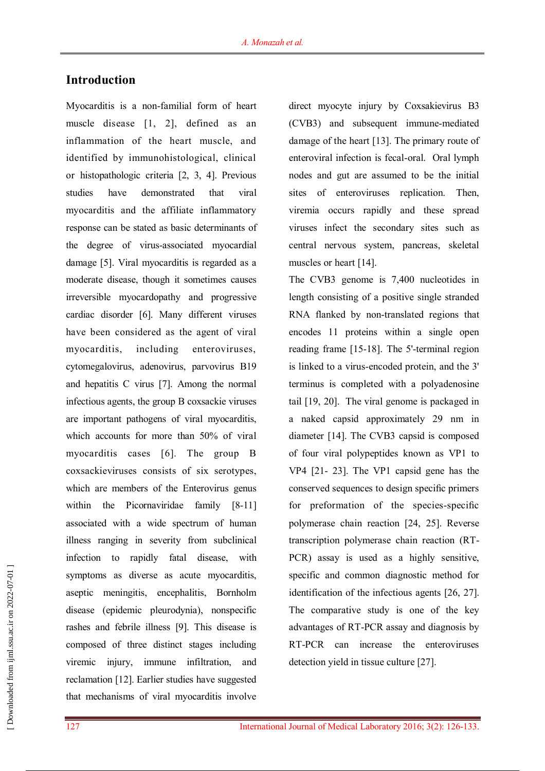## **Introduction**

Myocarditis is a non-familial form of heart muscle disease [1, 2], defined as an inflammation of the heart muscle, and identified by immunohistological, clinical or histopathologic criteria [2, 3, 4]. Previous studies have demonstrated that viral myocarditis and the affiliate inflammatory response can be stated as basic determinants of the degree of virus-associated myocardial damage [5]. Viral myocarditis is regarded as a moderate disease, though it sometimes causes irreversible myocardopathy and progressive cardiac disorder [6]. Many different viruses have been considered as the agent of viral myocarditis, including enteroviruses, cytomegalovirus, adenovirus, parvovirus B19 and hepatitis C virus [7]. Among the normal infectious agents, the group B coxsackie viruses are important pathogens of viral myocarditis, which accounts for more than 50% of viral myocarditis cases [6]. The group B coxsackieviruses consists of six serotypes, which are members of the Enterovirus genus within the Picornaviridae family [8-11] associated with a wide spectrum of human illness ranging in severity from subclinical infection to rapidly fatal disease, with symptoms as diverse as acute myocarditis, aseptic meningitis, encephalitis, Bornholm disease (epidemic pleurodynia), nonspecific rashes and febrile illness [9]. This disease is composed of three distinct stages including viremic injury, immune infiltration, and reclamation [12]. Earlier studies have suggested that mechanisms of viral myocarditis involve direct myocyte injury by Coxsakievirus B3 (CVB3) and subsequent immune-mediated damage of the heart [13]. The primary route of enteroviral infection is fecal-oral. Oral lymph nodes and gut are assumed to be the initial sites of enteroviruses replication. Then, viremia occurs rapidly and these spread viruses infect the secondary sites such as central nervous system, pancreas, skeletal muscles or heart [14].

The CVB3 genome is 7,400 nucleotides in length consisting of a positive single stranded RNA flanked by non-translated regions that encodes 11 proteins within a single open reading frame [15-18]. The 5'-terminal region is linked to a virus-encoded protein, and the 3' terminus is completed with a polyadenosine tail [19, 20]. The viral genome is packaged in a naked capsid approximately 29 nm in diameter [14]. The CVB3 capsid is composed of four viral polypeptides known as VP1 to VP4 [21- 23]. The VP1 capsid gene has the conserved sequences to design specific primers for preformation of the species-specific polymerase chain reaction [24, 25]. Reverse transcription polymerase chain reaction (RT-PCR) assay is used as a highly sensitive, specific and common diagnostic method for identification of the infectious agents [26, 27]. The comparative study is one of the key advantages of RT-PCR assay and diagnosis by RT-PCR can increase the enteroviruses detection yield in tissue culture [27].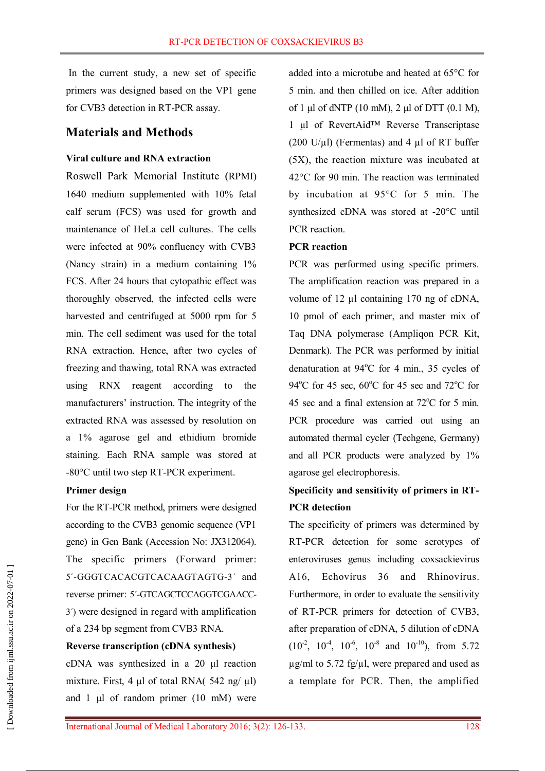In the current study, a new set of specific primers was designed based on the VP1 gene for CVB3 detection in RT-PCR assay.

### **Materials and Methods**

### **Viral culture and RNA extraction**

Roswell Park Memorial Institute (RPMI) 1640 medium supplemented with 10% fetal calf serum (FCS) was used for growth and maintenance of HeLa cell cultures. The cells were infected at 90% confluency with CVB3 (Nancy strain) in a medium containing 1% FCS. After 24 hours that cytopathic effect was thoroughly observed, the infected cells were harvested and centrifuged at 5000 rpm for 5 min. The cell sediment was used for the total RNA extraction. Hence, after two cycles of freezing and thawing, total RNA was extracted using RNX reagent according to the manufacturers' instruction. The integrity of the extracted RNA was assessed by resolution on a 1% agarose gel and ethidium bromide staining. Each RNA sample was stored at -80°C until two step RT-PCR experiment.

### **Primer design**

For the RT-PCR method, primers were designed according to the CVB3 genomic sequence (VP1 gene) in Gen Bank (Accession No: JX312064). The specific primers (Forward primer: 5΄-GGGTCACACGTCACAAGTAGTG-3΄ and reverse primer: 5΄-GTCAGCTCCAGGTCGAACC-3΄) were designed in regard with amplification of a 234 bp segment from CVB3 RNA.

### **Reverse transcription (cDNA synthesis)**

cDNA was synthesized in a 20 μl reaction mixture. First, 4 μl of total RNA(  $542$  ng/  $\mu$ l) and 1 μl of random primer (10 mM) were

added into a microtube and heated at 65°C for 5 min. and then chilled on ice. After addition of 1 μl of dNTP (10 mM), 2 μl of DTT (0.1 M), 1 μl of RevertAid™ Reverse Transcriptase (200 U/ $\mu$ l) (Fermentas) and 4  $\mu$ l of RT buffer (5X), the reaction mixture was incubated at 42°C for 90 min. The reaction was terminated by incubation at 95°C for 5 min. The synthesized cDNA was stored at -20°C until PCR reaction.

### **PCR reaction**

PCR was performed using specific primers. The amplification reaction was prepared in a volume of 12 µl containing 170 ng of cDNA, 10 pmol of each primer, and master mix of Taq DNA polymerase (Ampliqon PCR Kit, Denmark). The PCR was performed by initial denaturation at  $94^{\circ}$ C for 4 min., 35 cycles of 94 $\rm{^{\circ}C}$  for 45 sec, 60 $\rm{^{\circ}C}$  for 45 sec and 72 $\rm{^{\circ}C}$  for 45 sec and a final extension at  $72^{\circ}$ C for 5 min. PCR procedure was carried out using an automated thermal cycler (Techgene, Germany) and all PCR products were analyzed by 1% agarose gel electrophoresis.

# **Specificity and sensitivity of primers in RT-PCR detection**

The specificity of primers was determined by RT-PCR detection for some serotypes of enteroviruses genus including coxsackievirus A16, Echovirus 36 and Rhinovirus. Furthermore, in order to evaluate the sensitivity of RT-PCR primers for detection of CVB3, after preparation of cDNA, 5 dilution of cDNA  $(10^{-2}, 10^{-4}, 10^{-6}, 10^{-8} \text{ and } 10^{-10})$ , from 5.72  $\mu$ g/ml to 5.72 fg/ $\mu$ l, were prepared and used as a template for PCR. Then, the amplified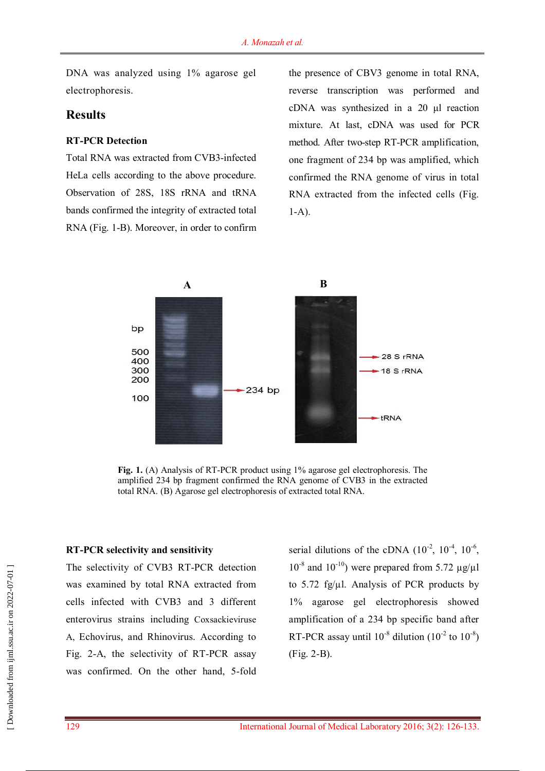DNA was analyzed using 1% agarose gel electrophoresis.

### **Results**

#### **RT-PCR Detection**

Total RNA was extracted from CVB3-infected HeLa cells according to the above procedure. Observation of 28S, 18S rRNA and tRNA bands confirmed the integrity of extracted total RNA (Fig. 1-B). Moreover, in order to confirm the presence of CBV3 genome in total RNA, reverse transcription was performed and cDNA was synthesized in a 20 μl reaction mixture. At last, cDNA was used for PCR method. After two-step RT-PCR amplification, one fragment of 234 bp was amplified, which confirmed the RNA genome of virus in total RNA extracted from the infected cells (Fig. 1-A).



**Fig. 1.** (A) Analysis of RT-PCR product using 1% agarose gel electrophoresis. The amplified 234 bp fragment confirmed the RNA genome of CVB3 in the extracted total RNA. (B) Agarose gel electrophoresis of extracted total RNA.

### **RT-PCR selectivity and sensitivity**

The selectivity of CVB3 RT-PCR detection was examined by total RNA extracted from cells infected with CVB3 and 3 different enterovirus strains including Coxsackieviruse A, Echovirus, and Rhinovirus. According to Fig. 2-A, the selectivity of RT-PCR assay was confirmed. On the other hand, 5-fold

serial dilutions of the cDNA  $(10^{-2}, 10^{-4}, 10^{-6},$  $10^{-8}$  and  $10^{-10}$ ) were prepared from 5.72  $\mu$ g/ $\mu$ l to 5.72 fg/ $\mu$ l. Analysis of PCR products by 1% agarose gel electrophoresis showed amplification of a 234 bp specific band after RT-PCR assay until  $10^{-8}$  dilution  $(10^{-2} \text{ to } 10^{-8})$ (Fig. 2-B).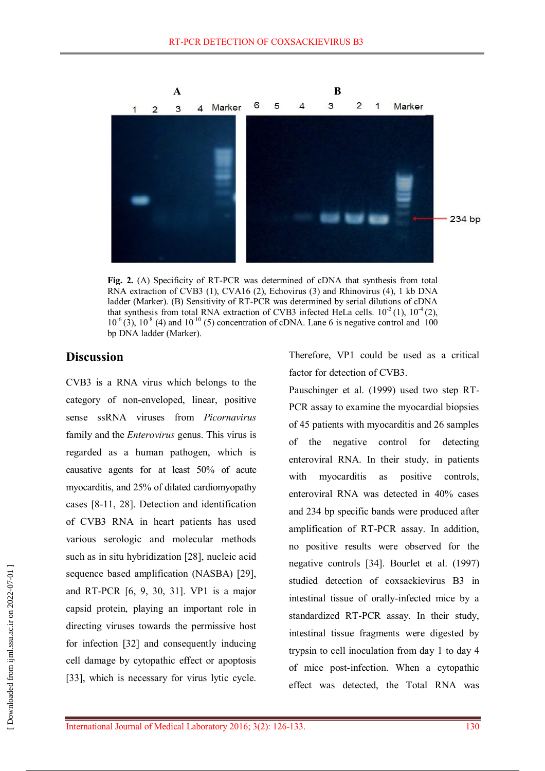

**Fig. 2.** (A) Specificity of RT-PCR was determined of cDNA that synthesis from total RNA extraction of CVB3 (1), CVA16 (2), Echovirus (3) and Rhinovirus (4), 1 kb DNA ladder (Marker). (B) Sensitivity of RT-PCR was determined by serial dilutions of cDNA that synthesis from total RNA extraction of CVB3 infected HeLa cells.  $10^2$  (1),  $10^4$  (2),  $10^{-6}$  (3),  $10^{-8}$  (4) and  $10^{-10}$  (5) concentration of cDNA. Lane 6 is negative control and 100 bp DNA ladder (Marker).

### **Discussion**

CVB3 is a RNA virus which belongs to the category of non-enveloped, linear, positive sense ssRNA viruses from *Picornavirus* family and the *Enterovirus* genus. This virus is regarded as a human pathogen, which is causative agents for at least 50% of acute myocarditis, and 25% of dilated cardiomyopathy cases [8-11, 28]. Detection and identification of CVB3 RNA in heart patients has used various serologic and molecular methods such as in situ hybridization [28], nucleic acid sequence based amplification (NASBA) [29], and RT-PCR [6, 9, 30, 31]. VP1 is a major capsid protein, playing an important role in directing viruses towards the permissive host for infection [32] and consequently inducing cell damage by cytopathic effect or apoptosis [33], which is necessary for virus lytic cycle.

Therefore, VP1 could be used as a critical factor for detection of CVB3.

Pauschinger et al. (1999) used two step RT-PCR assay to examine the myocardial biopsies of 45 patients with myocarditis and 26 samples of the negative control for detecting enteroviral RNA. In their study, in patients with myocarditis as positive controls, enteroviral RNA was detected in 40% cases and 234 bp specific bands were produced after amplification of RT-PCR assay. In addition, no positive results were observed for the negative controls [34]. Bourlet et al. (1997) studied detection of coxsackievirus B3 in intestinal tissue of orally-infected mice by a standardized RT-PCR assay. In their study, intestinal tissue fragments were digested by trypsin to cell inoculation from day 1 to day 4 of mice post-infection. When a cytopathic effect was detected, the Total RNA was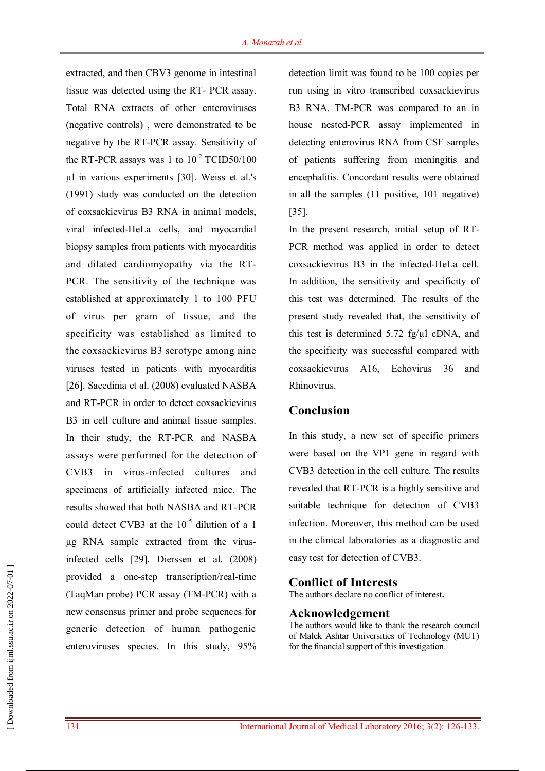extracted, and then CBV3 genome in intestinal tissue was detected using the RT- PCR assay. Total RNA extracts of other enteroviruses (negative controls) , were demonstrated to be negative by the RT-PCR assay. Sensitivity of the RT-PCR assays was 1 to  $10^{-2}$  TCID50/100 µl in various experiments [30]. Weiss et al.'s (1991) study was conducted on the detection of coxsackievirus B3 RNA in animal models, viral infected-HeLa cells, and myocardial biopsy samples from patients with myocarditis and dilated cardiomyopathy via the RT-PCR. The sensitivity of the technique was established at approximately 1 to 100 PFU of virus per gram of tissue, and the specificity was established as limited to the coxsackievirus B3 serotype among nine viruses tested in patients with myocarditis [26]. Saeedinia et al. (2008) evaluated NASBA and RT-PCR in order to detect coxsackievirus B3 in cell culture and animal tissue samples. In their study, the RT-PCR and NASBA assays were performed for the detection of CVB3 in virus-infected cultures and specimens of artificially infected mice. The results showed that both NASBA and RT-PCR could detect CVB3 at the  $10^{-5}$  dilution of a 1 μg RNA sample extracted from the virusinfected cells [29]. Dierssen et al. (2008) provided a one-step transcription/real-time (TaqMan probe) PCR assay (TM-PCR) with a new consensus primer and probe sequences for generic detection of human pathogenic enteroviruses species. In this study, 95%

detection limit was found to be 100 copies per run using in vitro transcribed coxsackievirus B3 RNA. TM-PCR was compared to an in house nested-PCR assay implemented in detecting enterovirus RNA from CSF samples of patients suffering from meningitis and encephalitis. Concordant results were obtained in all the samples (11 positive, 101 negative) [35].

In the present research, initial setup of RT-PCR method was applied in order to detect coxsackievirus B3 in the infected-HeLa cell. In addition, the sensitivity and specificity of this test was determined. The results of the present study revealed that, the sensitivity of this test is determined 5.72 fg/µl cDNA, and the specificity was successful compared with coxsackievirus A16, Echovirus 36 and Rhinovirus.

### **Conclusion**

In this study, a new set of specific primers were based on the VP1 gene in regard with CVB3 detection in the cell culture. The results revealed that RT-PCR is a highly sensitive and suitable technique for detection of CVB3 infection. Moreover, this method can be used in the clinical laboratories as a diagnostic and easy test for detection of CVB3.

### **Conflict of Interests**

The authors declare no conflict of interest**.**

### **Acknowledgement**

The authors would like to thank the research council of Malek Ashtar Universities of Technology (MUT) for the financial support of this investigation.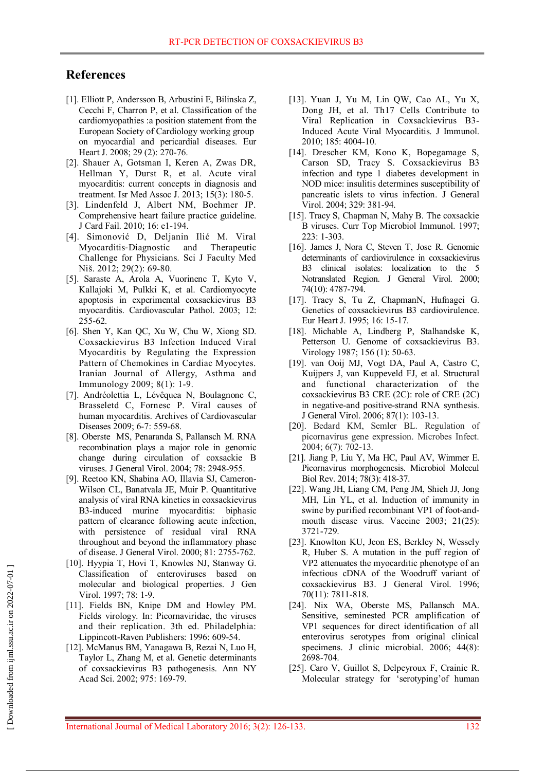## **References**

- [1]. Elliott P, Andersson B, Arbustini E, Bilinska Z, Cecchi F, Charron P, et al. Classification of the cardiomyopathies :a position statement from the European Society of Cardiology working group on myocardial and pericardial diseases. Eur Heart J. 2008; 29 (2): 270-76.
- [2]. Shauer A, Gotsman I, Keren A, Zwas DR, Hellman Y, Durst R, et al. Acute viral myocarditis: current concepts in diagnosis and treatment. Isr Med Assoc J. 2013; 15(3): 180-5.
- [3]. Lindenfeld J, Albert NM, Boehmer JP. Comprehensive heart failure practice guideline. J Card Fail. 2010; 16: e1-194.
- [4]. Simonović D, Deljanin Ilić M. Viral Myocarditis‐Diagnostic and Therapeutic Challenge for Physicians. Sci J Faculty Med Niš. 2012; 29(2): 69-80.
- [5]. Saraste A, Arola A, Vuorinenc T, Kyto V, Kallajoki M, Pulkki K, et al. Cardiomyocyte apoptosis in experimental coxsackievirus B3 myocarditis. Cardiovascular Pathol. 2003; 12: 255-62.
- [6]. Shen Y, Kan QC, Xu W, Chu W, Xiong SD. Coxsackievirus B3 Infection Induced Viral Myocarditis by Regulating the Expression Pattern of Chemokines in Cardiac Myocytes. Iranian Journal of Allergy, Asthma and Immunology 2009; 8(1): 1-9.
- [7]. Andréolettia L, Lévêquea N, Boulagnonc C, Brasseletd C, Fornesc P. Viral causes of human myocarditis. Archives of Cardiovascular Diseases 2009; 6-7: 559-68.
- [8]. Oberste MS, Penaranda S, Pallansch M. RNA recombination plays a major role in genomic change during circulation of coxsackie B viruses. J General Virol. 2004; 78: 2948-955.
- [9]. Reetoo KN, Shabina AO, Illavia SJ, Cameron-Wilson CL, Banatvala JE, Muir P. Quantitative analysis of viral RNA kinetics in coxsackievirus B3-induced murine myocarditis: biphasic pattern of clearance following acute infection, with persistence of residual viral RNA throughout and beyond the inflammatory phase of disease. J General Virol. 2000; 81: 2755-762.
- [10]. Hyypia T, Hovi T, Knowles NJ, Stanway G. Classification of enteroviruses based on molecular and biological properties. J Gen Virol. 1997; 78: 1-9.
- [11]. Fields BN, Knipe DM and Howley PM. Fields virology. In: Picornaviridae, the viruses and their replication. 3th ed. Philadelphia: Lippincott-Raven Publishers: 1996: 609-54.
- [12]. McManus BM, Yanagawa B, Rezai N, Luo H, Taylor L, Zhang M, et al. Genetic determinants of coxsackievirus B3 pathogenesis. Ann NY Acad Sci. 2002; 975: 169-79.
- [13]. Yuan J, Yu M, Lin QW, Cao AL, Yu X, Dong JH, et al. Th17 Cells Contribute to Viral Replication in Coxsackievirus B3- Induced Acute Viral Myocarditis. J Immunol. 2010; 185: 4004-10.
- [14]. Drescher KM, Kono K, Bopegamage S, Carson SD, Tracy S. Coxsackievirus B3 infection and type 1 diabetes development in NOD mice: insulitis determines susceptibility of pancreatic islets to virus infection. J General Virol. 2004; 329: 381-94.
- [15]. Tracy S, Chapman N, Mahy B. The coxsackie B viruses. Curr Top Microbiol Immunol. 1997; 223: 1-303.
- [16]. James J, Nora C, Steven T, Jose R. Genomic determinants of cardiovirulence in coxsackievirus B3 clinical isolates: localization to the 5 Notranslated Region. J General Virol. 2000; 74(10): 4787-794.
- [17]. Tracy S, Tu Z, ChapmanN, Hufnagei G. Genetics of coxsackievirus B3 cardiovirulence. Eur Heart J. 1995; 16: 15-17.
- [18]. Michable A, Lindberg P, Stalhandske K, Petterson U. Genome of coxsackievirus B3. Virology 1987; 156 (1): 50-63.
- [19]. van Ooij MJ, Vogt DA, Paul A, Castro C, Kuijpers J, van Kuppeveld FJ, et al. Structural and functional characterization of the coxsackievirus B3 CRE (2C): role of CRE (2C) in negative-and positive-strand RNA synthesis. J General Virol. 2006; 87(1): 103-13.
- [20]. Bedard KM, Semler BL. Regulation of picornavirus gene expression. Microbes Infect. 2004; 6(7): 702-13.
- [21]. Jiang P, Liu Y, Ma HC, Paul AV, Wimmer E. Picornavirus morphogenesis. Microbiol Molecul Biol Rev. 2014; 78(3): 418-37.
- [22]. Wang JH, Liang CM, Peng JM, Shieh JJ, Jong MH, Lin YL, et al. Induction of immunity in swine by purified recombinant VP1 of foot-andmouth disease virus. Vaccine 2003; 21(25): 3721-729.
- [23]. Knowlton KU, Jeon ES, Berkley N, Wessely R, Huber S. A mutation in the puff region of VP2 attenuates the myocarditic phenotype of an infectious cDNA of the Woodruff variant of coxsackievirus B3. J General Virol. 1996; 70(11): 7811-818.
- [24]. Nix WA, Oberste MS, Pallansch MA. Sensitive, seminested PCR amplification of VP1 sequences for direct identification of all enterovirus serotypes from original clinical specimens. J clinic microbial. 2006: 44(8): 2698-704.
- [25]. Caro V, Guillot S, Delpeyroux F, Crainic R. Molecular strategy for 'serotyping'of human